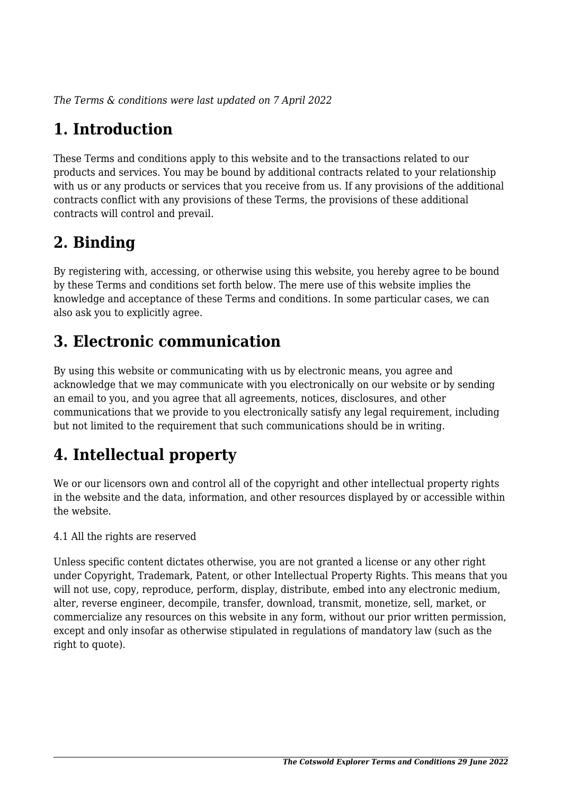*The Terms & conditions were last updated on 7 April 2022*

# **1. Introduction**

These Terms and conditions apply to this website and to the transactions related to our products and services. You may be bound by additional contracts related to your relationship with us or any products or services that you receive from us. If any provisions of the additional contracts conflict with any provisions of these Terms, the provisions of these additional contracts will control and prevail.

## **2. Binding**

By registering with, accessing, or otherwise using this website, you hereby agree to be bound by these Terms and conditions set forth below. The mere use of this website implies the knowledge and acceptance of these Terms and conditions. In some particular cases, we can also ask you to explicitly agree.

## **3. Electronic communication**

By using this website or communicating with us by electronic means, you agree and acknowledge that we may communicate with you electronically on our website or by sending an email to you, and you agree that all agreements, notices, disclosures, and other communications that we provide to you electronically satisfy any legal requirement, including but not limited to the requirement that such communications should be in writing.

# **4. Intellectual property**

We or our licensors own and control all of the copyright and other intellectual property rights in the website and the data, information, and other resources displayed by or accessible within the website.

4.1 All the rights are reserved

Unless specific content dictates otherwise, you are not granted a license or any other right under Copyright, Trademark, Patent, or other Intellectual Property Rights. This means that you will not use, copy, reproduce, perform, display, distribute, embed into any electronic medium, alter, reverse engineer, decompile, transfer, download, transmit, monetize, sell, market, or commercialize any resources on this website in any form, without our prior written permission, except and only insofar as otherwise stipulated in regulations of mandatory law (such as the right to quote).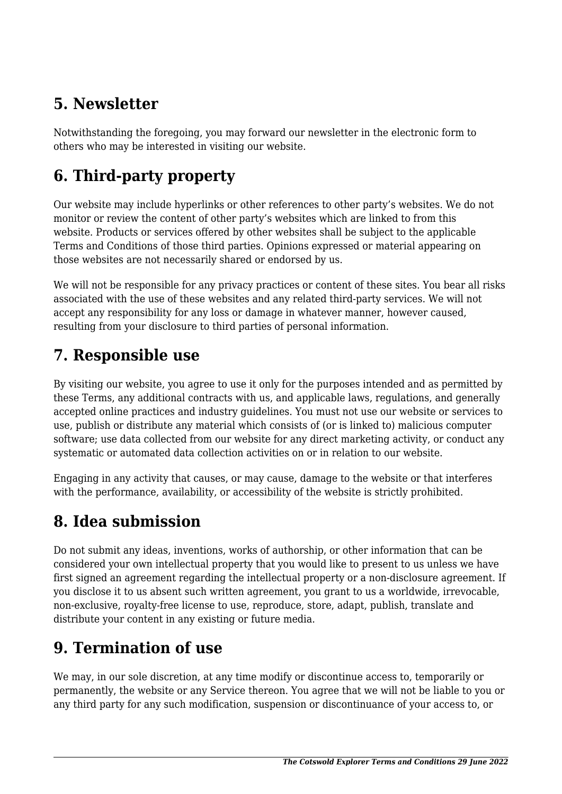## **5. Newsletter**

Notwithstanding the foregoing, you may forward our newsletter in the electronic form to others who may be interested in visiting our website.

# **6. Third-party property**

Our website may include hyperlinks or other references to other party's websites. We do not monitor or review the content of other party's websites which are linked to from this website. Products or services offered by other websites shall be subject to the applicable Terms and Conditions of those third parties. Opinions expressed or material appearing on those websites are not necessarily shared or endorsed by us.

We will not be responsible for any privacy practices or content of these sites. You bear all risks associated with the use of these websites and any related third-party services. We will not accept any responsibility for any loss or damage in whatever manner, however caused, resulting from your disclosure to third parties of personal information.

### **7. Responsible use**

By visiting our website, you agree to use it only for the purposes intended and as permitted by these Terms, any additional contracts with us, and applicable laws, regulations, and generally accepted online practices and industry guidelines. You must not use our website or services to use, publish or distribute any material which consists of (or is linked to) malicious computer software; use data collected from our website for any direct marketing activity, or conduct any systematic or automated data collection activities on or in relation to our website.

Engaging in any activity that causes, or may cause, damage to the website or that interferes with the performance, availability, or accessibility of the website is strictly prohibited.

## **8. Idea submission**

Do not submit any ideas, inventions, works of authorship, or other information that can be considered your own intellectual property that you would like to present to us unless we have first signed an agreement regarding the intellectual property or a non-disclosure agreement. If you disclose it to us absent such written agreement, you grant to us a worldwide, irrevocable, non-exclusive, royalty-free license to use, reproduce, store, adapt, publish, translate and distribute your content in any existing or future media.

## **9. Termination of use**

We may, in our sole discretion, at any time modify or discontinue access to, temporarily or permanently, the website or any Service thereon. You agree that we will not be liable to you or any third party for any such modification, suspension or discontinuance of your access to, or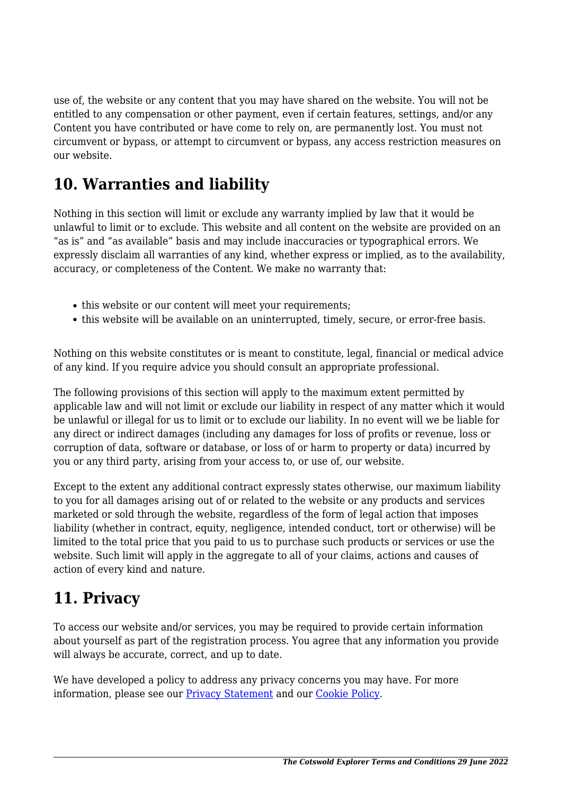use of, the website or any content that you may have shared on the website. You will not be entitled to any compensation or other payment, even if certain features, settings, and/or any Content you have contributed or have come to rely on, are permanently lost. You must not circumvent or bypass, or attempt to circumvent or bypass, any access restriction measures on our website.

### **10. Warranties and liability**

Nothing in this section will limit or exclude any warranty implied by law that it would be unlawful to limit or to exclude. This website and all content on the website are provided on an "as is" and "as available" basis and may include inaccuracies or typographical errors. We expressly disclaim all warranties of any kind, whether express or implied, as to the availability, accuracy, or completeness of the Content. We make no warranty that:

- this website or our content will meet your requirements;
- this website will be available on an uninterrupted, timely, secure, or error-free basis.

Nothing on this website constitutes or is meant to constitute, legal, financial or medical advice of any kind. If you require advice you should consult an appropriate professional.

The following provisions of this section will apply to the maximum extent permitted by applicable law and will not limit or exclude our liability in respect of any matter which it would be unlawful or illegal for us to limit or to exclude our liability. In no event will we be liable for any direct or indirect damages (including any damages for loss of profits or revenue, loss or corruption of data, software or database, or loss of or harm to property or data) incurred by you or any third party, arising from your access to, or use of, our website.

Except to the extent any additional contract expressly states otherwise, our maximum liability to you for all damages arising out of or related to the website or any products and services marketed or sold through the website, regardless of the form of legal action that imposes liability (whether in contract, equity, negligence, intended conduct, tort or otherwise) will be limited to the total price that you paid to us to purchase such products or services or use the website. Such limit will apply in the aggregate to all of your claims, actions and causes of action of every kind and nature.

### **11. Privacy**

To access our website and/or services, you may be required to provide certain information about yourself as part of the registration process. You agree that any information you provide will always be accurate, correct, and up to date.

We have developed a policy to address any privacy concerns you may have. For more information, please see our **Privacy Statement** and our **Cookie Policy**.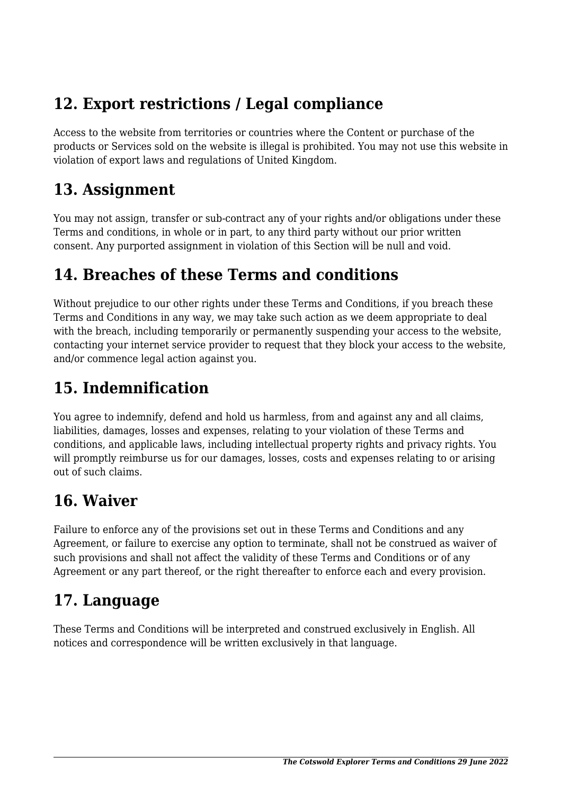## **12. Export restrictions / Legal compliance**

Access to the website from territories or countries where the Content or purchase of the products or Services sold on the website is illegal is prohibited. You may not use this website in violation of export laws and regulations of United Kingdom.

#### **13. Assignment**

You may not assign, transfer or sub-contract any of your rights and/or obligations under these Terms and conditions, in whole or in part, to any third party without our prior written consent. Any purported assignment in violation of this Section will be null and void.

### **14. Breaches of these Terms and conditions**

Without prejudice to our other rights under these Terms and Conditions, if you breach these Terms and Conditions in any way, we may take such action as we deem appropriate to deal with the breach, including temporarily or permanently suspending your access to the website, contacting your internet service provider to request that they block your access to the website, and/or commence legal action against you.

## **15. Indemnification**

You agree to indemnify, defend and hold us harmless, from and against any and all claims, liabilities, damages, losses and expenses, relating to your violation of these Terms and conditions, and applicable laws, including intellectual property rights and privacy rights. You will promptly reimburse us for our damages, losses, costs and expenses relating to or arising out of such claims.

## **16. Waiver**

Failure to enforce any of the provisions set out in these Terms and Conditions and any Agreement, or failure to exercise any option to terminate, shall not be construed as waiver of such provisions and shall not affect the validity of these Terms and Conditions or of any Agreement or any part thereof, or the right thereafter to enforce each and every provision.

## **17. Language**

These Terms and Conditions will be interpreted and construed exclusively in English. All notices and correspondence will be written exclusively in that language.